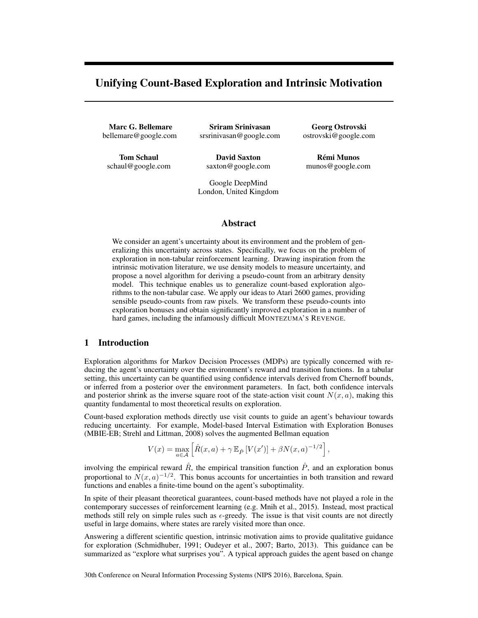# Unifying Count-Based Exploration and Intrinsic Motivation

Marc G. Bellemare bellemare@google.com

Sriram Srinivasan srsrinivasan@google.com

Tom Schaul schaul@google.com

David Saxton saxton@google.com

Google DeepMind London, United Kingdom

Georg Ostrovski ostrovski@google.com

**Rémi Munos** munos@google.com

# Abstract

We consider an agent's uncertainty about its environment and the problem of generalizing this uncertainty across states. Specifically, we focus on the problem of exploration in non-tabular reinforcement learning. Drawing inspiration from the intrinsic motivation literature, we use density models to measure uncertainty, and propose a novel algorithm for deriving a pseudo-count from an arbitrary density model. This technique enables us to generalize count-based exploration algorithms to the non-tabular case. We apply our ideas to Atari 2600 games, providing sensible pseudo-counts from raw pixels. We transform these pseudo-counts into exploration bonuses and obtain significantly improved exploration in a number of hard games, including the infamously difficult MONTEZUMA'S REVENGE.

## 1 Introduction

Exploration algorithms for Markov Decision Processes (MDPs) are typically concerned with reducing the agent's uncertainty over the environment's reward and transition functions. In a tabular setting, this uncertainty can be quantified using confidence intervals derived from Chernoff bounds, or inferred from a posterior over the environment parameters. In fact, both confidence intervals and posterior shrink as the inverse square root of the state-action visit count  $N(x, a)$ , making this quantity fundamental to most theoretical results on exploration.

Count-based exploration methods directly use visit counts to guide an agent's behaviour towards reducing uncertainty. For example, Model-based Interval Estimation with Exploration Bonuses (MBIE-EB; Strehl and Littman, 2008) solves the augmented Bellman equation

$$
V(x) = \max_{a \in \mathcal{A}} \left[ \hat{R}(x, a) + \gamma \mathbb{E}_{\hat{P}} \left[ V(x') \right] + \beta N(x, a)^{-1/2} \right],
$$

involving the empirical reward  $\hat{R}$ , the empirical transition function  $\hat{P}$ , and an exploration bonus proportional to  $N(x,a)^{-1/2}$ . This bonus accounts for uncertainties in both transition and reward functions and enables a finite-time bound on the agent's suboptimality.

In spite of their pleasant theoretical guarantees, count-based methods have not played a role in the contemporary successes of reinforcement learning (e.g. Mnih et al., 2015). Instead, most practical methods still rely on simple rules such as  $\epsilon$ -greedy. The issue is that visit counts are not directly useful in large domains, where states are rarely visited more than once.

Answering a different scientific question, intrinsic motivation aims to provide qualitative guidance for exploration (Schmidhuber, 1991; Oudeyer et al., 2007; Barto, 2013). This guidance can be summarized as "explore what surprises you". A typical approach guides the agent based on change

30th Conference on Neural Information Processing Systems (NIPS 2016), Barcelona, Spain.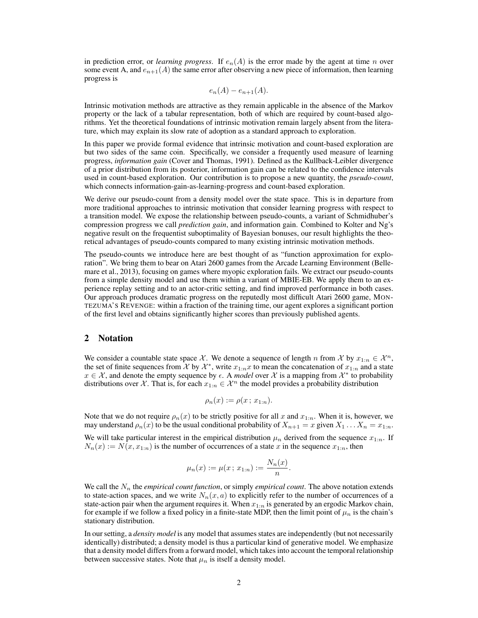in prediction error, or *learning progress*. If  $e_n(A)$  is the error made by the agent at time n over some event A, and  $e_{n+1}(A)$  the same error after observing a new piece of information, then learning progress is

$$
e_n(A) - e_{n+1}(A).
$$

Intrinsic motivation methods are attractive as they remain applicable in the absence of the Markov property or the lack of a tabular representation, both of which are required by count-based algorithms. Yet the theoretical foundations of intrinsic motivation remain largely absent from the literature, which may explain its slow rate of adoption as a standard approach to exploration.

In this paper we provide formal evidence that intrinsic motivation and count-based exploration are but two sides of the same coin. Specifically, we consider a frequently used measure of learning progress, *information gain* (Cover and Thomas, 1991). Defined as the Kullback-Leibler divergence of a prior distribution from its posterior, information gain can be related to the confidence intervals used in count-based exploration. Our contribution is to propose a new quantity, the *pseudo-count*, which connects information-gain-as-learning-progress and count-based exploration.

We derive our pseudo-count from a density model over the state space. This is in departure from more traditional approaches to intrinsic motivation that consider learning progress with respect to a transition model. We expose the relationship between pseudo-counts, a variant of Schmidhuber's compression progress we call *prediction gain*, and information gain. Combined to Kolter and Ng's negative result on the frequentist suboptimality of Bayesian bonuses, our result highlights the theoretical advantages of pseudo-counts compared to many existing intrinsic motivation methods.

The pseudo-counts we introduce here are best thought of as "function approximation for exploration". We bring them to bear on Atari 2600 games from the Arcade Learning Environment (Bellemare et al., 2013), focusing on games where myopic exploration fails. We extract our pseudo-counts from a simple density model and use them within a variant of MBIE-EB. We apply them to an experience replay setting and to an actor-critic setting, and find improved performance in both cases. Our approach produces dramatic progress on the reputedly most difficult Atari 2600 game, MON-TEZUMA'S REVENGE: within a fraction of the training time, our agent explores a significant portion of the first level and obtains significantly higher scores than previously published agents.

#### 2 Notation

We consider a countable state space X. We denote a sequence of length n from X by  $x_{1:n} \in \mathcal{X}^n$ , the set of finite sequences from X by  $\mathcal{X}^*$ , write  $x_{1:n}x$  to mean the concatenation of  $x_{1:n}$  and a state  $x \in \mathcal{X}$ , and denote the empty sequence by  $\epsilon$ . A *model* over  $\mathcal{X}$  is a mapping from  $\mathcal{X}^*$  to probability distributions over X. That is, for each  $x_{1:n} \in \mathcal{X}^n$  the model provides a probability distribution

$$
\rho_n(x) := \rho(x \, ; \, x_{1:n}).
$$

Note that we do not require  $\rho_n(x)$  to be strictly positive for all x and  $x_{1:n}$ . When it is, however, we may understand  $\rho_n(x)$  to be the usual conditional probability of  $X_{n+1} = x$  given  $X_1 \ldots X_n = x_{1:n}$ .

We will take particular interest in the empirical distribution  $\mu_n$  derived from the sequence  $x_{1:n}$ . If  $N_n(x) := N(x, x_{1:n})$  is the number of occurrences of a state x in the sequence  $x_{1:n}$ , then

$$
\mu_n(x) := \mu(x \, ; \, x_{1:n}) := \frac{N_n(x)}{n}.
$$

We call the  $N_n$  the *empirical count function*, or simply *empirical count*. The above notation extends to state-action spaces, and we write  $N_n(x, a)$  to explicitly refer to the number of occurrences of a state-action pair when the argument requires it. When  $x_{1:n}$  is generated by an ergodic Markov chain, for example if we follow a fixed policy in a finite-state MDP, then the limit point of  $\mu_n$  is the chain's stationary distribution.

In our setting, a *density model* is any model that assumes states are independently (but not necessarily identically) distributed; a density model is thus a particular kind of generative model. We emphasize that a density model differs from a forward model, which takes into account the temporal relationship between successive states. Note that  $\mu_n$  is itself a density model.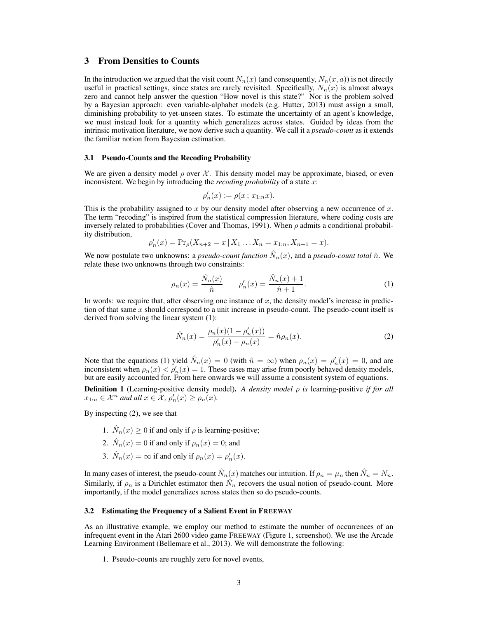### 3 From Densities to Counts

In the introduction we argued that the visit count  $N_n(x)$  (and consequently,  $N_n(x, a)$ ) is not directly useful in practical settings, since states are rarely revisited. Specifically,  $N_n(x)$  is almost always zero and cannot help answer the question "How novel is this state?" Nor is the problem solved by a Bayesian approach: even variable-alphabet models (e.g. Hutter, 2013) must assign a small, diminishing probability to yet-unseen states. To estimate the uncertainty of an agent's knowledge, we must instead look for a quantity which generalizes across states. Guided by ideas from the intrinsic motivation literature, we now derive such a quantity. We call it a *pseudo-count* as it extends the familiar notion from Bayesian estimation.

#### 3.1 Pseudo-Counts and the Recoding Probability

We are given a density model  $\rho$  over X. This density model may be approximate, biased, or even inconsistent. We begin by introducing the *recoding probability* of a state x:

$$
\rho'_{n}(x) := \rho(x \, ; \, x_{1:n}x).
$$

This is the probability assigned to x by our density model after observing a new occurrence of  $x$ . The term "recoding" is inspired from the statistical compression literature, where coding costs are inversely related to probabilities (Cover and Thomas, 1991). When  $\rho$  admits a conditional probability distribution,

$$
\rho'_n(x) = \Pr_{\rho}(X_{n+2} = x \mid X_1 \dots X_n = x_{1:n}, X_{n+1} = x).
$$

We now postulate two unknowns: a *pseudo-count function*  $\hat{N}_n(x)$ , and a *pseudo-count total*  $\hat{n}$ . We relate these two unknowns through two constraints:

$$
\rho_n(x) = \frac{\hat{N}_n(x)}{\hat{n}} \qquad \rho'_n(x) = \frac{\hat{N}_n(x) + 1}{\hat{n} + 1}.
$$
 (1)

In words: we require that, after observing one instance of  $x$ , the density model's increase in prediction of that same  $x$  should correspond to a unit increase in pseudo-count. The pseudo-count itself is derived from solving the linear system (1):

$$
\hat{N}_n(x) = \frac{\rho_n(x)(1 - \rho'_n(x))}{\rho'_n(x) - \rho_n(x)} = \hat{n}\rho_n(x).
$$
\n(2)

Note that the equations (1) yield  $\hat{N}_n(x) = 0$  (with  $\hat{n} = \infty$ ) when  $\rho_n(x) = \rho'_n(x) = 0$ , and are inconsistent when  $\rho_n(x) < \rho'_n(x) = 1$ . These cases may arise from poorly behaved density models, but are easily accounted for. From here onwards we will assume a consistent system of equations.

Definition 1 (Learning-positive density model). *A density model* ρ *is* learning-positive *if for all*  $x_{1:n} \in \mathcal{X}^n$  and all  $x \in \mathcal{X}$ ,  $\rho'_n(x) \ge \rho_n(x)$ .

By inspecting (2), we see that

- 1.  $\hat{N}_n(x) \ge 0$  if and only if  $\rho$  is learning-positive;
- 2.  $\hat{N}_n(x) = 0$  if and only if  $\rho_n(x) = 0$ ; and
- 3.  $\hat{N}_n(x) = \infty$  if and only if  $\rho_n(x) = \rho'_n(x)$ .

In many cases of interest, the pseudo-count  $\hat{N}_n(x)$  matches our intuition. If  $\rho_n = \mu_n$  then  $\hat{N}_n = N_n$ . Similarly, if  $\rho_n$  is a Dirichlet estimator then  $\hat{N}_n$  recovers the usual notion of pseudo-count. More importantly, if the model generalizes across states then so do pseudo-counts.

#### 3.2 Estimating the Frequency of a Salient Event in FREEWAY

As an illustrative example, we employ our method to estimate the number of occurrences of an infrequent event in the Atari 2600 video game FREEWAY (Figure 1, screenshot). We use the Arcade Learning Environment (Bellemare et al., 2013). We will demonstrate the following:

1. Pseudo-counts are roughly zero for novel events,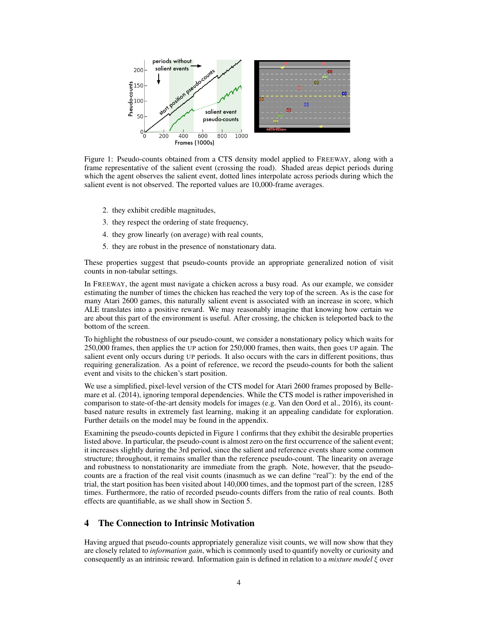

Figure 1: Pseudo-counts obtained from a CTS density model applied to FREEWAY, along with a frame representative of the salient event (crossing the road). Shaded areas depict periods during which the agent observes the salient event, dotted lines interpolate across periods during which the salient event is not observed. The reported values are 10,000-frame averages.

- 2. they exhibit credible magnitudes,
- 3. they respect the ordering of state frequency,
- 4. they grow linearly (on average) with real counts,
- 5. they are robust in the presence of nonstationary data.

These properties suggest that pseudo-counts provide an appropriate generalized notion of visit counts in non-tabular settings.

In FREEWAY, the agent must navigate a chicken across a busy road. As our example, we consider estimating the number of times the chicken has reached the very top of the screen. As is the case for many Atari 2600 games, this naturally salient event is associated with an increase in score, which ALE translates into a positive reward. We may reasonably imagine that knowing how certain we are about this part of the environment is useful. After crossing, the chicken is teleported back to the bottom of the screen.

To highlight the robustness of our pseudo-count, we consider a nonstationary policy which waits for 250,000 frames, then applies the UP action for 250,000 frames, then waits, then goes UP again. The salient event only occurs during UP periods. It also occurs with the cars in different positions, thus requiring generalization. As a point of reference, we record the pseudo-counts for both the salient event and visits to the chicken's start position.

We use a simplified, pixel-level version of the CTS model for Atari 2600 frames proposed by Bellemare et al. (2014), ignoring temporal dependencies. While the CTS model is rather impoverished in comparison to state-of-the-art density models for images (e.g. Van den Oord et al., 2016), its countbased nature results in extremely fast learning, making it an appealing candidate for exploration. Further details on the model may be found in the appendix.

Examining the pseudo-counts depicted in Figure 1 confirms that they exhibit the desirable properties listed above. In particular, the pseudo-count is almost zero on the first occurrence of the salient event; it increases slightly during the 3rd period, since the salient and reference events share some common structure; throughout, it remains smaller than the reference pseudo-count. The linearity on average and robustness to nonstationarity are immediate from the graph. Note, however, that the pseudocounts are a fraction of the real visit counts (inasmuch as we can define "real"): by the end of the trial, the start position has been visited about 140,000 times, and the topmost part of the screen, 1285 times. Furthermore, the ratio of recorded pseudo-counts differs from the ratio of real counts. Both effects are quantifiable, as we shall show in Section 5.

# 4 The Connection to Intrinsic Motivation

Having argued that pseudo-counts appropriately generalize visit counts, we will now show that they are closely related to *information gain*, which is commonly used to quantify novelty or curiosity and consequently as an intrinsic reward. Information gain is defined in relation to a *mixture model* ξ over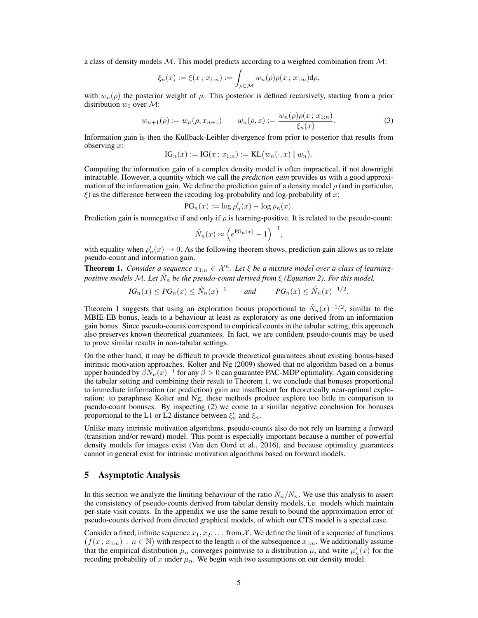a class of density models  $M$ . This model predicts according to a weighted combination from  $M$ :

$$
\xi_n(x) := \xi(x \, ; \, x_{1:n}) := \int_{\rho \in \mathcal{M}} w_n(\rho) \rho(x \, ; \, x_{1:n}) \mathrm{d}\rho,
$$

with  $w_n(\rho)$  the posterior weight of  $\rho$ . This posterior is defined recursively, starting from a prior distribution  $w_0$  over  $\mathcal{M}$ :

$$
w_{n+1}(\rho) := w_n(\rho, x_{n+1}) \qquad w_n(\rho, x) := \frac{w_n(\rho)\rho(x; x_{1:n})}{\xi_n(x)}.
$$
 (3)

Information gain is then the Kullback-Leibler divergence from prior to posterior that results from observing  $x$ :

IG<sub>n</sub>
$$
(x) :=
$$
IG $(x; x_{1:n}) :=$ KL $(w_n(\cdot, x) || w_n)$ .

Computing the information gain of a complex density model is often impractical, if not downright intractable. However, a quantity which we call the *prediction gain* provides us with a good approximation of the information gain. We define the prediction gain of a density model  $\rho$  (and in particular,  $\xi$ ) as the difference between the recoding log-probability and log-probability of x:

$$
PG_n(x) := \log \rho'_n(x) - \log \rho_n(x).
$$

Prediction gain is nonnegative if and only if  $\rho$  is learning-positive. It is related to the pseudo-count:

$$
\hat{N}_n(x) \approx \left(e^{\text{PG}_n(x)} - 1\right)^{-1},
$$

with equality when  $\rho'_n(x) \to 0$ . As the following theorem shows, prediction gain allows us to relate pseudo-count and information gain.

**Theorem 1.** *Consider a sequence*  $x_{1:n} \in \mathcal{X}^n$ . Let  $\xi$  be a mixture model over a class of learning*positive models* M*. Let* Nˆ <sup>n</sup> *be the pseudo-count derived from* ξ *(Equation 2). For this model,*

$$
IG_n(x) \le PG_n(x) \le \hat{N}_n(x)^{-1} \qquad \text{and} \qquad PG_n(x) \le \hat{N}_n(x)^{-1/2}.
$$

Theorem 1 suggests that using an exploration bonus proportional to  $\hat{N}_n(x)^{-1/2}$ , similar to the MBIE-EB bonus, leads to a behaviour at least as exploratory as one derived from an information gain bonus. Since pseudo-counts correspond to empirical counts in the tabular setting, this approach also preserves known theoretical guarantees. In fact, we are confident pseudo-counts may be used to prove similar results in non-tabular settings.

On the other hand, it may be difficult to provide theoretical guarantees about existing bonus-based intrinsic motivation approaches. Kolter and Ng (2009) showed that no algorithm based on a bonus upper bounded by  $\beta N_n(x)^{-1}$  for any  $\beta > 0$  can guarantee PAC-MDP optimality. Again considering the tabular setting and combining their result to Theorem 1, we conclude that bonuses proportional to immediate information (or prediction) gain are insufficient for theoretically near-optimal exploration: to paraphrase Kolter and Ng, these methods produce explore too little in comparison to pseudo-count bonuses. By inspecting (2) we come to a similar negative conclusion for bonuses proportional to the L1 or L2 distance between  $\xi_n'$  and  $\xi_n$ .

Unlike many intrinsic motivation algorithms, pseudo-counts also do not rely on learning a forward (transition and/or reward) model. This point is especially important because a number of powerful density models for images exist (Van den Oord et al., 2016), and because optimality guarantees cannot in general exist for intrinsic motivation algorithms based on forward models.

### 5 Asymptotic Analysis

In this section we analyze the limiting behaviour of the ratio  $\hat{N}_n/N_n$ . We use this analysis to assert the consistency of pseudo-counts derived from tabular density models, i.e. models which maintain per-state visit counts. In the appendix we use the same result to bound the approximation error of pseudo-counts derived from directed graphical models, of which our CTS model is a special case.

Consider a fixed, infinite sequence  $x_1, x_2, \ldots$  from X. We define the limit of a sequence of functions  $(f(x; x_{1:n}) : n \in \mathbb{N})$  with respect to the length n of the subsequence  $x_{1:n}$ . We additionally assume that the empirical distribution  $\mu_n$  converges pointwise to a distribution  $\mu$ , and write  $\mu'_n(x)$  for the recoding probability of x under  $\mu_n$ . We begin with two assumptions on our density model.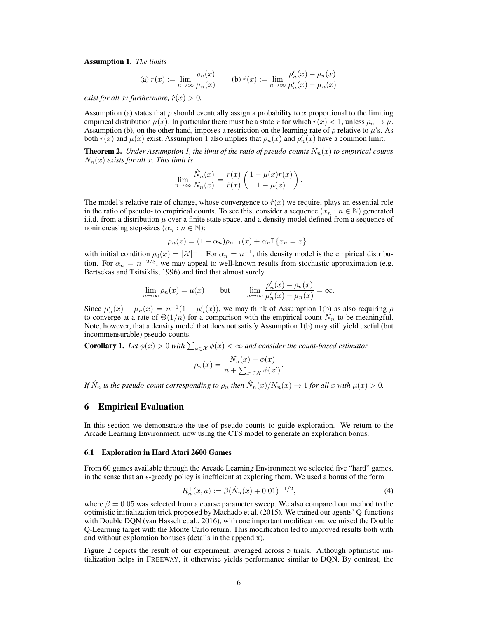Assumption 1. *The limits*

(a) 
$$
r(x) := \lim_{n \to \infty} \frac{\rho_n(x)}{\mu_n(x)}
$$
 (b)  $\dot{r}(x) := \lim_{n \to \infty} \frac{\rho'_n(x) - \rho_n(x)}{\mu'_n(x) - \mu_n(x)}$ 

*exist for all x; furthermore,*  $\dot{r}(x) > 0$ *.* 

Assumption (a) states that  $\rho$  should eventually assign a probability to x proportional to the limiting empirical distribution  $\mu(x)$ . In particular there must be a state x for which  $r(x) < 1$ , unless  $\rho_n \to \mu$ . Assumption (b), on the other hand, imposes a restriction on the learning rate of  $\rho$  relative to  $\mu$ 's. As both  $r(x)$  and  $\mu(x)$  exist, Assumption 1 also implies that  $\rho_n(x)$  and  $\rho'_n(x)$  have a common limit.

**Theorem 2.** Under Assumption 1, the limit of the ratio of pseudo-counts  $\hat{N}_n(x)$  to empirical counts Nn(x) *exists for all* x*. This limit is*

$$
\lim_{n \to \infty} \frac{\hat{N}_n(x)}{N_n(x)} = \frac{r(x)}{\dot{r}(x)} \left( \frac{1 - \mu(x)r(x)}{1 - \mu(x)} \right).
$$

The model's relative rate of change, whose convergence to  $\dot{r}(x)$  we require, plays an essential role in the ratio of pseudo- to empirical counts. To see this, consider a sequence  $(x_n : n \in \mathbb{N})$  generated i.i.d. from a distribution  $\mu$  over a finite state space, and a density model defined from a sequence of nonincreasing step-sizes  $(\alpha_n : n \in \mathbb{N})$ :

$$
\rho_n(x) = (1 - \alpha_n)\rho_{n-1}(x) + \alpha_n \mathbb{I} \{x_n = x\},\,
$$

with initial condition  $\rho_0(x) = |X|^{-1}$ . For  $\alpha_n = n^{-1}$ , this density model is the empirical distribution. For  $\alpha_n = n^{-2/3}$ , we may appeal to well-known results from stochastic approximation (e.g. Bertsekas and Tsitsiklis, 1996) and find that almost surely

$$
\lim_{n \to \infty} \rho_n(x) = \mu(x) \quad \text{but} \quad \lim_{n \to \infty} \frac{\rho_n'(x) - \rho_n(x)}{\mu_n'(x) - \mu_n(x)} = \infty.
$$

Since  $\mu'_n(x) - \mu_n(x) = n^{-1}(1 - \mu'_n(x))$ , we may think of Assumption 1(b) as also requiring  $\rho$ to converge at a rate of  $\Theta(1/n)$  for a comparison with the empirical count  $N_n$  to be meaningful. Note, however, that a density model that does not satisfy Assumption 1(b) may still yield useful (but incommensurable) pseudo-counts.

**Corollary 1.** Let  $\phi(x) > 0$  with  $\sum_{x \in \mathcal{X}} \phi(x) < \infty$  and consider the count-based estimator

$$
\rho_n(x) = \frac{N_n(x) + \phi(x)}{n + \sum_{x' \in \mathcal{X}} \phi(x')}.
$$

*If*  $\hat{N}_n$  is the pseudo-count corresponding to  $\rho_n$  then  $\hat{N}_n(x)/N_n(x) \to 1$  for all x with  $\mu(x) > 0$ .

#### 6 Empirical Evaluation

In this section we demonstrate the use of pseudo-counts to guide exploration. We return to the Arcade Learning Environment, now using the CTS model to generate an exploration bonus.

#### 6.1 Exploration in Hard Atari 2600 Games

From 60 games available through the Arcade Learning Environment we selected five "hard" games, in the sense that an  $\epsilon$ -greedy policy is inefficient at exploring them. We used a bonus of the form

$$
R_n^+(x, a) := \beta(\hat{N}_n(x) + 0.01)^{-1/2},\tag{4}
$$

where  $\beta = 0.05$  was selected from a coarse parameter sweep. We also compared our method to the optimistic initialization trick proposed by Machado et al. (2015). We trained our agents' Q-functions with Double DQN (van Hasselt et al., 2016), with one important modification: we mixed the Double Q-Learning target with the Monte Carlo return. This modification led to improved results both with and without exploration bonuses (details in the appendix).

Figure 2 depicts the result of our experiment, averaged across 5 trials. Although optimistic initialization helps in FREEWAY, it otherwise yields performance similar to DQN. By contrast, the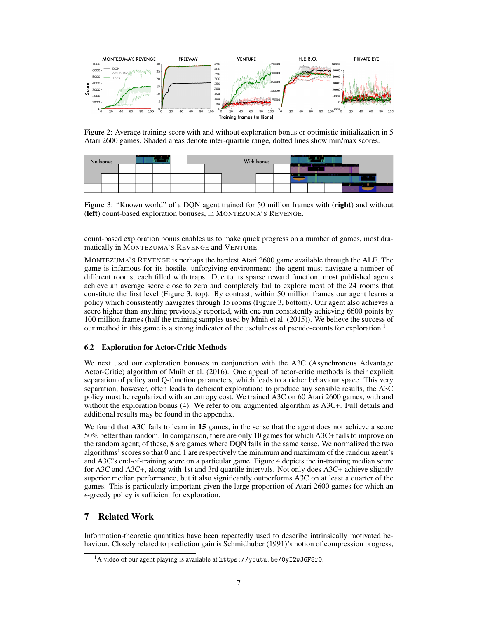

Figure 2: Average training score with and without exploration bonus or optimistic initialization in 5 Atari 2600 games. Shaded areas denote inter-quartile range, dotted lines show min/max scores.

| No bonus |  |  |  |  |  |  |  | With bonus |  |  |  |  |  |  |          |  |                                                                                                          |
|----------|--|--|--|--|--|--|--|------------|--|--|--|--|--|--|----------|--|----------------------------------------------------------------------------------------------------------|
|          |  |  |  |  |  |  |  |            |  |  |  |  |  |  |          |  |                                                                                                          |
|          |  |  |  |  |  |  |  |            |  |  |  |  |  |  |          |  |                                                                                                          |
|          |  |  |  |  |  |  |  |            |  |  |  |  |  |  | ________ |  | $\overline{\phantom{a}}$<br>,,,,,,,,,,,,,<br>,,,,,,,,,,,,,,,<br>,,,,,,,,,,,,,,,,,<br>,,,,,,,,,,,,,,,,,,, |

Figure 3: "Known world" of a DQN agent trained for 50 million frames with (right) and without (left) count-based exploration bonuses, in MONTEZUMA'S REVENGE.

count-based exploration bonus enables us to make quick progress on a number of games, most dramatically in MONTEZUMA'S REVENGE and VENTURE.

MONTEZUMA'S REVENGE is perhaps the hardest Atari 2600 game available through the ALE. The game is infamous for its hostile, unforgiving environment: the agent must navigate a number of different rooms, each filled with traps. Due to its sparse reward function, most published agents achieve an average score close to zero and completely fail to explore most of the 24 rooms that constitute the first level (Figure 3, top). By contrast, within 50 million frames our agent learns a policy which consistently navigates through 15 rooms (Figure 3, bottom). Our agent also achieves a score higher than anything previously reported, with one run consistently achieving 6600 points by 100 million frames (half the training samples used by Mnih et al. (2015)). We believe the success of our method in this game is a strong indicator of the usefulness of pseudo-counts for exploration.<sup>1</sup>

### 6.2 Exploration for Actor-Critic Methods

We next used our exploration bonuses in conjunction with the A3C (Asynchronous Advantage Actor-Critic) algorithm of Mnih et al. (2016). One appeal of actor-critic methods is their explicit separation of policy and Q-function parameters, which leads to a richer behaviour space. This very separation, however, often leads to deficient exploration: to produce any sensible results, the A3C policy must be regularized with an entropy cost. We trained A3C on 60 Atari 2600 games, with and without the exploration bonus (4). We refer to our augmented algorithm as A3C+. Full details and additional results may be found in the appendix.

We found that A3C fails to learn in 15 games, in the sense that the agent does not achieve a score 50% better than random. In comparison, there are only 10 games for which A3C+ fails to improve on the random agent; of these, 8 are games where DQN fails in the same sense. We normalized the two algorithms' scores so that 0 and 1 are respectively the minimum and maximum of the random agent's and A3C's end-of-training score on a particular game. Figure 4 depicts the in-training median score for A3C and A3C+, along with 1st and 3rd quartile intervals. Not only does A3C+ achieve slightly superior median performance, but it also significantly outperforms A3C on at least a quarter of the games. This is particularly important given the large proportion of Atari 2600 games for which an  $\epsilon$ -greedy policy is sufficient for exploration.

### 7 Related Work

Information-theoretic quantities have been repeatedly used to describe intrinsically motivated behaviour. Closely related to prediction gain is Schmidhuber (1991)'s notion of compression progress,

 $1A$  video of our agent playing is available at https://youtu.be/0yI2wJ6F8r0.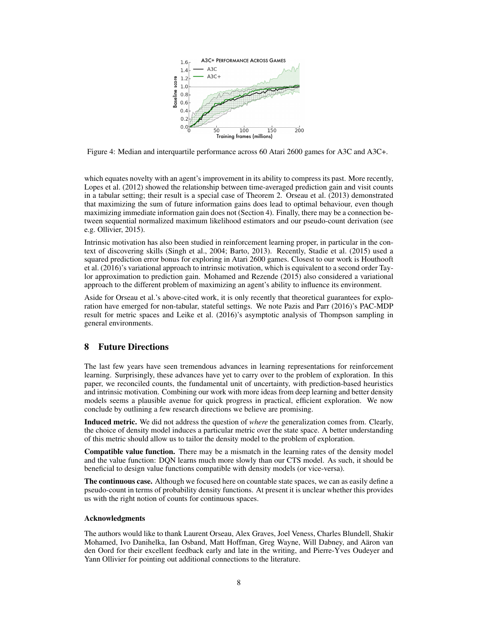

Figure 4: Median and interquartile performance across 60 Atari 2600 games for A3C and A3C+.

which equates novelty with an agent's improvement in its ability to compress its past. More recently, Lopes et al. (2012) showed the relationship between time-averaged prediction gain and visit counts in a tabular setting; their result is a special case of Theorem 2. Orseau et al. (2013) demonstrated that maximizing the sum of future information gains does lead to optimal behaviour, even though maximizing immediate information gain does not (Section 4). Finally, there may be a connection between sequential normalized maximum likelihood estimators and our pseudo-count derivation (see e.g. Ollivier, 2015).

Intrinsic motivation has also been studied in reinforcement learning proper, in particular in the context of discovering skills (Singh et al., 2004; Barto, 2013). Recently, Stadie et al. (2015) used a squared prediction error bonus for exploring in Atari 2600 games. Closest to our work is Houthooft et al. (2016)'s variational approach to intrinsic motivation, which is equivalent to a second order Taylor approximation to prediction gain. Mohamed and Rezende (2015) also considered a variational approach to the different problem of maximizing an agent's ability to influence its environment.

Aside for Orseau et al.'s above-cited work, it is only recently that theoretical guarantees for exploration have emerged for non-tabular, stateful settings. We note Pazis and Parr (2016)'s PAC-MDP result for metric spaces and Leike et al. (2016)'s asymptotic analysis of Thompson sampling in general environments.

# 8 Future Directions

The last few years have seen tremendous advances in learning representations for reinforcement learning. Surprisingly, these advances have yet to carry over to the problem of exploration. In this paper, we reconciled counts, the fundamental unit of uncertainty, with prediction-based heuristics and intrinsic motivation. Combining our work with more ideas from deep learning and better density models seems a plausible avenue for quick progress in practical, efficient exploration. We now conclude by outlining a few research directions we believe are promising.

Induced metric. We did not address the question of *where* the generalization comes from. Clearly, the choice of density model induces a particular metric over the state space. A better understanding of this metric should allow us to tailor the density model to the problem of exploration.

Compatible value function. There may be a mismatch in the learning rates of the density model and the value function: DQN learns much more slowly than our CTS model. As such, it should be beneficial to design value functions compatible with density models (or vice-versa).

The continuous case. Although we focused here on countable state spaces, we can as easily define a pseudo-count in terms of probability density functions. At present it is unclear whether this provides us with the right notion of counts for continuous spaces.

#### Acknowledgments

The authors would like to thank Laurent Orseau, Alex Graves, Joel Veness, Charles Blundell, Shakir Mohamed, Ivo Danihelka, Ian Osband, Matt Hoffman, Greg Wayne, Will Dabney, and Aäron van den Oord for their excellent feedback early and late in the writing, and Pierre-Yves Oudeyer and Yann Ollivier for pointing out additional connections to the literature.